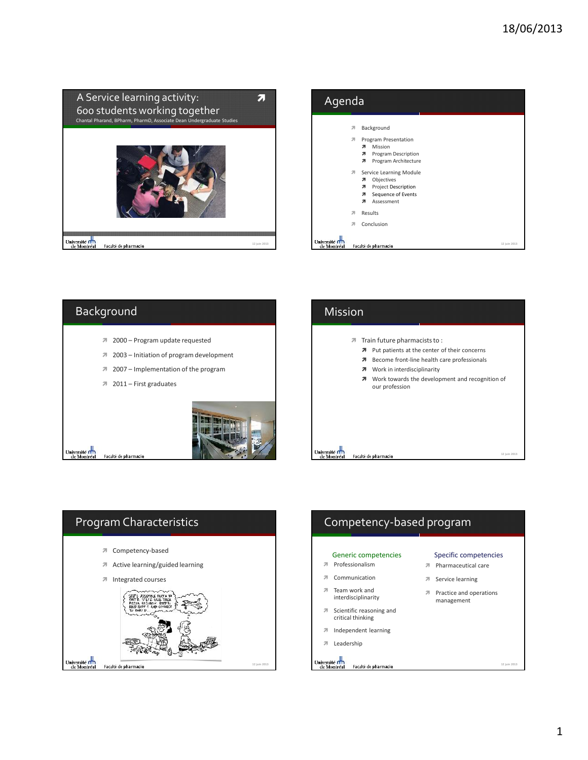

| Agenda                              |                                                                                                                            |              |
|-------------------------------------|----------------------------------------------------------------------------------------------------------------------------|--------------|
|                                     | Background<br>л<br>Program Presentation<br>л                                                                               |              |
|                                     | Mission<br>я<br>Program Description<br>я<br>Program Architecture<br>я                                                      |              |
|                                     | Service Learning Module<br>21<br>Objectives<br>я<br>Project Description<br>я<br>Sequence of Events<br>я<br>Assessment<br>я |              |
|                                     | Results<br>я                                                                                                               |              |
|                                     | Conclusion<br>л                                                                                                            |              |
| <b>Universite fl</b><br>de Montréal | Faculté de pharmacie                                                                                                       | 12 juin 2013 |

## Background 2000 – Program update requested 2003 – Initiation of program development 2007 – Implementation of the program 2011 – First graduates Université<br>de Montréal Université<br>de Montréal Faculté de pharmacie **12 juin 2013**





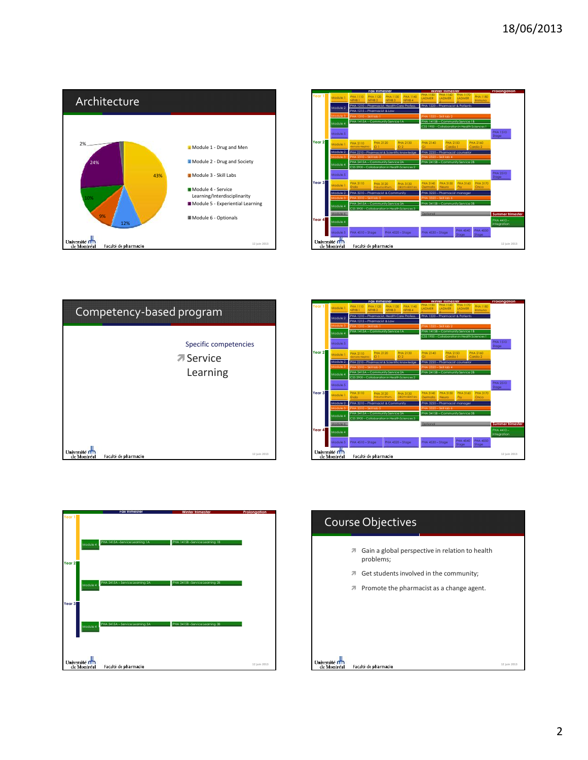









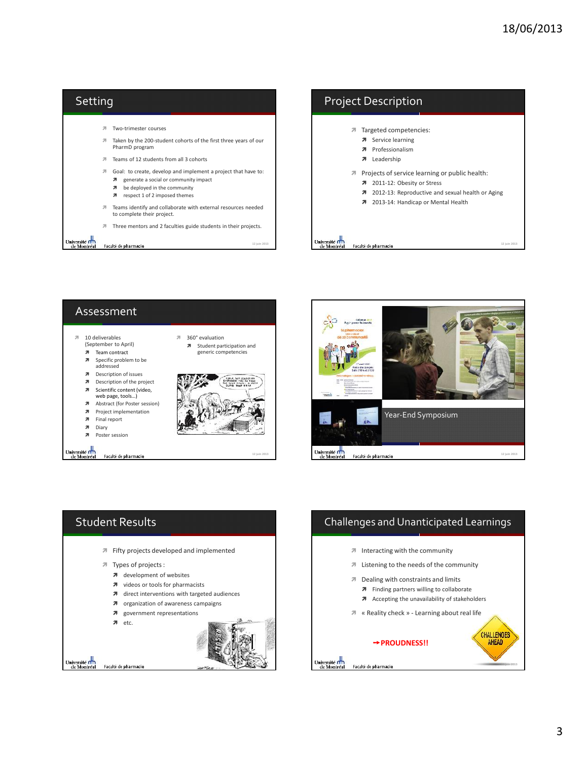







## Challenges and Unanticipated Learnings  $\sqrt{ }$  Interacting with the community Listening to the needs of the community **7** Dealing with constraints and limits **7** Finding partners willing to collaborate A Accepting the unavailability of stakeholders « Reality check » - Learning about real life CHALLENGES **➙PROUDNESS!!** AHEAD Université n'in<br>de Montréal Faculté de pharmacie **12 juin 2013**